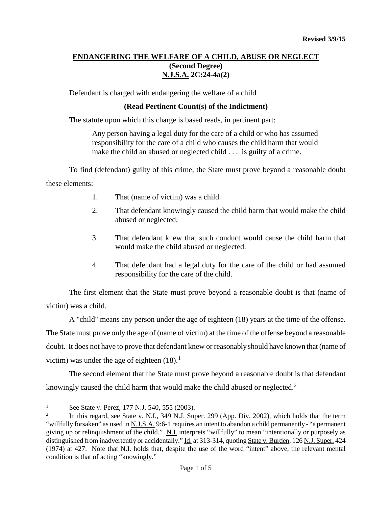## **ENDANGERING THE WELFARE OF A CHILD, ABUSE OR NEGLECT (Second Degree) N.J.S.A. 2C:24-4a(2)**

Defendant is charged with endangering the welfare of a child

### **(Read Pertinent Count(s) of the Indictment)**

The statute upon which this charge is based reads, in pertinent part:

Any person having a legal duty for the care of a child or who has assumed responsibility for the care of a child who causes the child harm that would make the child an abused or neglected child . . . is guilty of a crime.

To find (defendant) guilty of this crime, the State must prove beyond a reasonable doubt these elements:

- 1. That (name of victim) was a child.
- 2. That defendant knowingly caused the child harm that would make the child abused or neglected;
- 3. That defendant knew that such conduct would cause the child harm that would make the child abused or neglected.
- 4. That defendant had a legal duty for the care of the child or had assumed responsibility for the care of the child.

The first element that the State must prove beyond a reasonable doubt is that (name of victim) was a child.

A "child" means any person under the age of eighteen (18) years at the time of the offense. The State must prove only the age of (name of victim) at the time of the offense beyond a reasonable doubt. It does not have to prove that defendant knew or reasonably should have known that (name of victim) was under the age of eighteen  $(18).<sup>1</sup>$  $(18).<sup>1</sup>$  $(18).<sup>1</sup>$ 

The second element that the State must prove beyond a reasonable doubt is that defendant knowingly caused the child harm that would make the child abused or neglected.<sup>[2](#page-0-1)</sup>

<span id="page-0-0"></span> $\frac{1}{2}$  See State v. Perez, 177 N.J. 540, 555 (2003).  $\mathbf{1}$ 

<span id="page-0-1"></span><sup>2</sup> In this regard, see State v. N.I., 349 N.J. Super. 299 (App. Div. 2002), which holds that the term "willfully forsaken" as used in N.J.S.A. 9:6-1 requires an intent to abandon a child permanently - "a permanent giving up or relinquishment of the child." N.I. interprets "willfully" to mean "intentionally or purposely as distinguished from inadvertently or accidentally." Id. at 313-314, quoting State v. Burden, 126 N.J. Super. 424 (1974) at 427. Note that N.I. holds that, despite the use of the word "intent" above, the relevant mental condition is that of acting "knowingly."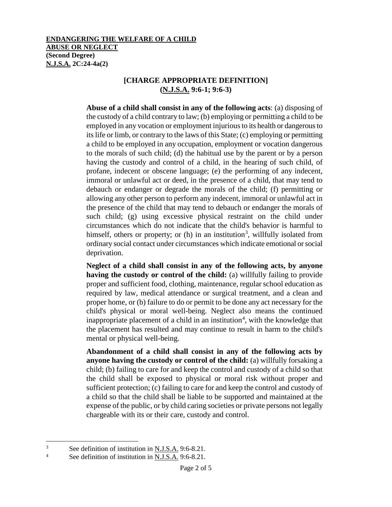## **[CHARGE APPROPRIATE DEFINITION] (N.J.S.A. 9:6-1; 9:6-3)**

**Abuse of a child shall consist in any of the following acts**: (a) disposing of the custody of a child contrary to law; (b) employing or permitting a child to be employed in any vocation or employment injurious to its health or dangerous to its life or limb, or contrary to the laws of this State; (c) employing or permitting a child to be employed in any occupation, employment or vocation dangerous to the morals of such child; (d) the habitual use by the parent or by a person having the custody and control of a child, in the hearing of such child, of profane, indecent or obscene language; (e) the performing of any indecent, immoral or unlawful act or deed, in the presence of a child, that may tend to debauch or endanger or degrade the morals of the child; (f) permitting or allowing any other person to perform any indecent, immoral or unlawful act in the presence of the child that may tend to debauch or endanger the morals of such child; (g) using excessive physical restraint on the child under circumstances which do not indicate that the child's behavior is harmful to himself, others or property; or  $(h)$  in an institution<sup>[3](#page-1-0)</sup>, willfully isolated from ordinary social contact under circumstances which indicate emotional or social deprivation.

**Neglect of a child shall consist in any of the following acts, by anyone having the custody or control of the child:** (a) willfully failing to provide proper and sufficient food, clothing, maintenance, regular school education as required by law, medical attendance or surgical treatment, and a clean and proper home, or (b) failure to do or permit to be done any act necessary for the child's physical or moral well-being. Neglect also means the continued inappropriate placement of a child in an institution<sup>[4](#page-1-1)</sup>, with the knowledge that the placement has resulted and may continue to result in harm to the child's mental or physical well-being.

**Abandonment of a child shall consist in any of the following acts by anyone having the custody or control of the child:** (a) willfully forsaking a child; (b) failing to care for and keep the control and custody of a child so that the child shall be exposed to physical or moral risk without proper and sufficient protection; (c) failing to care for and keep the control and custody of a child so that the child shall be liable to be supported and maintained at the expense of the public, or by child caring societies or private persons not legally chargeable with its or their care, custody and control.

<span id="page-1-0"></span><sup>&</sup>lt;sup>3</sup> See definition of institution in <u>N.J.S.A.</u> 9:6-8.21.<br><sup>4</sup> See definition of institution in N.J.S.A. 9:6-8.21.  $\overline{3}$ 

<span id="page-1-1"></span>See definition of institution in N.J.S.A. 9:6-8.21.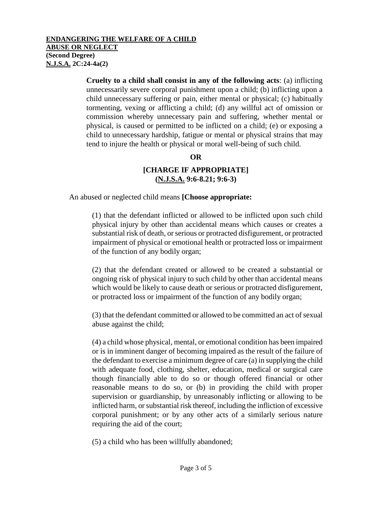#### **ENDANGERING THE WELFARE OF A CHILD ABUSE OR NEGLECT (Second Degree) N.J.S.A. 2C:24-4a(2)**

**Cruelty to a child shall consist in any of the following acts**: (a) inflicting unnecessarily severe corporal punishment upon a child; (b) inflicting upon a child unnecessary suffering or pain, either mental or physical; (c) habitually tormenting, vexing or afflicting a child; (d) any willful act of omission or commission whereby unnecessary pain and suffering, whether mental or physical, is caused or permitted to be inflicted on a child; (e) or exposing a child to unnecessary hardship, fatigue or mental or physical strains that may tend to injure the health or physical or moral well-being of such child.

### **OR**

# **[CHARGE IF APPROPRIATE] (N.J.S.A. 9:6-8.21; 9:6-3)**

An abused or neglected child means **[Choose appropriate:** 

(1) that the defendant inflicted or allowed to be inflicted upon such child physical injury by other than accidental means which causes or creates a substantial risk of death, or serious or protracted disfigurement, or protracted impairment of physical or emotional health or protracted loss or impairment of the function of any bodily organ;

(2) that the defendant created or allowed to be created a substantial or ongoing risk of physical injury to such child by other than accidental means which would be likely to cause death or serious or protracted disfigurement, or protracted loss or impairment of the function of any bodily organ;

(3) that the defendant committed or allowed to be committed an act of sexual abuse against the child;

(4) a child whose physical, mental, or emotional condition has been impaired or is in imminent danger of becoming impaired as the result of the failure of the defendant to exercise a minimum degree of care (a) in supplying the child with adequate food, clothing, shelter, education, medical or surgical care though financially able to do so or though offered financial or other reasonable means to do so, or (b) in providing the child with proper supervision or guardianship, by unreasonably inflicting or allowing to be inflicted harm, or substantial risk thereof, including the infliction of excessive corporal punishment; or by any other acts of a similarly serious nature requiring the aid of the court;

(5) a child who has been willfully abandoned;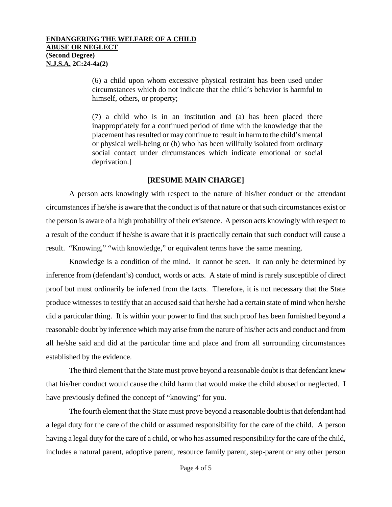(6) a child upon whom excessive physical restraint has been used under circumstances which do not indicate that the child's behavior is harmful to himself, others, or property;

(7) a child who is in an institution and (a) has been placed there inappropriately for a continued period of time with the knowledge that the placement has resulted or may continue to result in harm to the child's mental or physical well-being or (b) who has been willfully isolated from ordinary social contact under circumstances which indicate emotional or social deprivation.]

### **[RESUME MAIN CHARGE]**

A person acts knowingly with respect to the nature of his/her conduct or the attendant circumstances if he/she is aware that the conduct is of that nature or that such circumstances exist or the person is aware of a high probability of their existence. A person acts knowingly with respect to a result of the conduct if he/she is aware that it is practically certain that such conduct will cause a result. "Knowing," "with knowledge," or equivalent terms have the same meaning.

Knowledge is a condition of the mind. It cannot be seen. It can only be determined by inference from (defendant's) conduct, words or acts. A state of mind is rarely susceptible of direct proof but must ordinarily be inferred from the facts. Therefore, it is not necessary that the State produce witnesses to testify that an accused said that he/she had a certain state of mind when he/she did a particular thing. It is within your power to find that such proof has been furnished beyond a reasonable doubt by inference which may arise from the nature of his/her acts and conduct and from all he/she said and did at the particular time and place and from all surrounding circumstances established by the evidence.

The third element that the State must prove beyond a reasonable doubt is that defendant knew that his/her conduct would cause the child harm that would make the child abused or neglected. I have previously defined the concept of "knowing" for you.

The fourth element that the State must prove beyond a reasonable doubt is that defendant had a legal duty for the care of the child or assumed responsibility for the care of the child. A person having a legal duty for the care of a child, or who has assumed responsibility for the care of the child, includes a natural parent, adoptive parent, resource family parent, step-parent or any other person